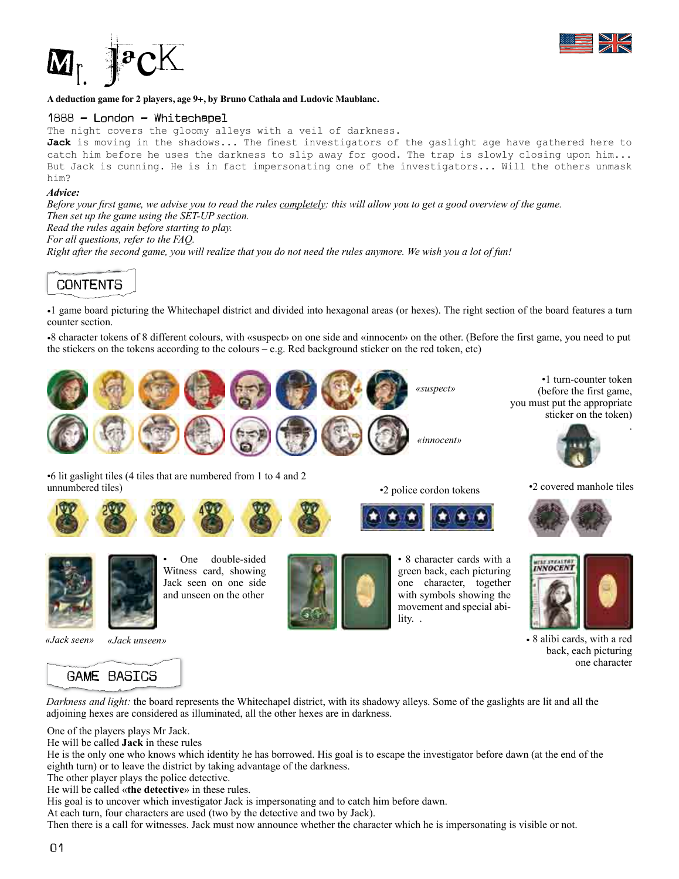



#### **A deduction game for 2 players, age 9+, by Bruno Cathala and Ludovic Maublanc.**

#### 1888 - London - Whitechapel

The night covers the gloomy alleys with a veil of darkness.

Jack is moving in the shadows... The finest investigators of the gaslight age have gathered here to catch him before he uses the darkness to slip away for good. The trap is slowly closing upon him... But Jack is cunning. He is in fact impersonating one of the investigators... Will the others unmask him?

#### *Advice:*

*Before your frst game, we advise you to read the rules completely: this will allow you to get a good overview of the game. Then set up the game using the SET-UP section.* 

*Read the rules again before starting to play.*

*For all questions, refer to the FAQ.*

*Right after the second game, you will realize that you do not need the rules anymore. We wish you a lot of fun!* 

# CONTENTS

•1 game board picturing the Whitechapel district and divided into hexagonal areas (or hexes). The right section of the board features a turn counter section.

•8 character tokens of 8 different colours, with «suspect» on one side and «innocent» on the other. (Before the first game, you need to put the stickers on the tokens according to the colours – e.g. Red background sticker on the red token, etc)



•6 lit gaslight tiles (4 tiles that are numbered from 1 to 4 and 2

•2 police cordon tokens •2 covered manhole tiles





One double-sided Witness card, showing Jack seen on one side and unseen on the other



• 8 character cards with a green back, each picturing one character, together with symbols showing the movement and special ability. .



• 8 alibi cards, with a red back, each picturing one character

*«Jack seen» «Jack unseen»*



*Darkness and light:* the board represents the Whitechapel district, with its shadowy alleys. Some of the gaslights are lit and all the adjoining hexes are considered as illuminated, all the other hexes are in darkness.

One of the players plays Mr Jack.

He will be called **Jack** in these rules

He is the only one who knows which identity he has borrowed. His goal is to escape the investigator before dawn (at the end of the eighth turn) or to leave the district by taking advantage of the darkness.

The other player plays the police detective.

He will be called «**the detective**» in these rules.

His goal is to uncover which investigator Jack is impersonating and to catch him before dawn.

At each turn, four characters are used (two by the detective and two by Jack).

Then there is a call for witnesses. Jack must now announce whether the character which he is impersonating is visible or not.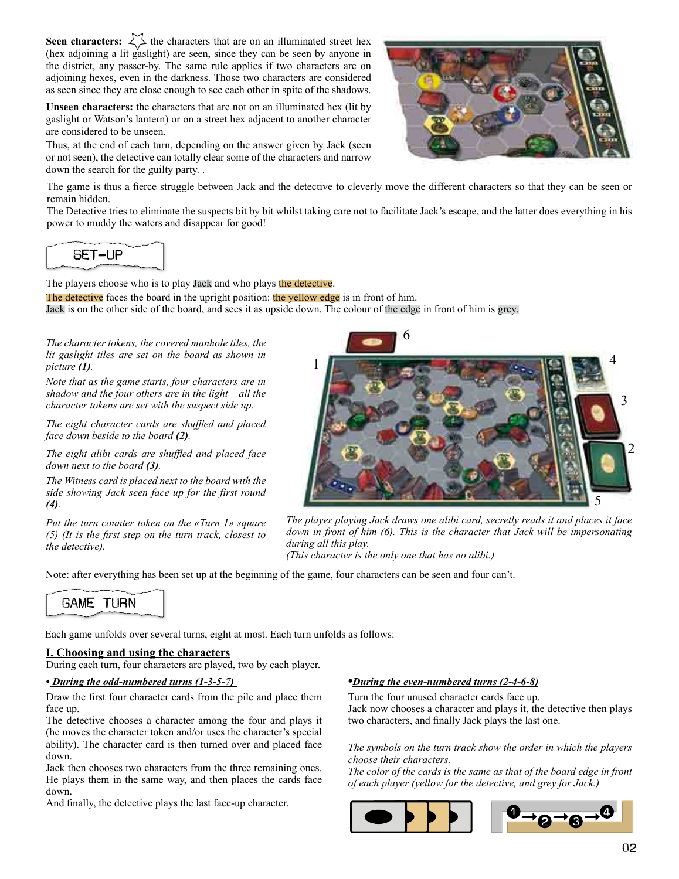**Seen characters:**  $\bigvee$  the characters that are on an illuminated street hex (hex adjoining a lit gaslight) are seen, since they can be seen by anyone in the district, any passer-by. The same rule applies if two characters are on adjoining hexes, even in the darkness. Those two characters are considered as seen since they are close enough to see each other in spite of the shadows.

**Unseen characters:** the characters that are not on an illuminated hex (lit by gaslight or Watson's lantern) or on a street hex adjacent to another character are considered to be unseen.

Thus, at the end of each turn, depending on the answer given by Jack (seen or not seen), the detective can totally clear some of the characters and narrow down the search for the guilty party. .



The game is thus a fierce struggle between Jack and the detective to cleverly move the different characters so that they can be seen or remain hidden.

The Detective tries to eliminate the suspects bit by bit whilst taking care not to facilitate Jack's escape, and the latter does everything in his power to muddy the waters and disappear for good!

SET-UP

The players choose who is to play Jack and who plays the detective.

The detective faces the board in the upright position: the yellow edge is in front of him. Jack is on the other side of the board, and sees it as upside down. The colour of the edge in front of him is grey.

*The character tokens, the covered manhole tiles, the lit gaslight tiles are set on the board as shown in picture (1).*

*Note that as the game starts, four characters are in shadow and the four others are in the light – all the character tokens are set with the suspect side up.* 

*The eight character cards are shuffled and placed face down beside to the board (2).*

*The eight alibi cards are shuffled and placed face down next to the board (3).* 

*The Witness card is placed next to the board with the side showing Jack seen face up for the first round (4).* 

*Put the turn counter token on the «Turn 1» square (5) (It is the frst step on the turn track, closest to the detective).* 



*The player playing Jack draws one alibi card, secretly reads it and places it face down in front of him (6). This is the character that Jack will be impersonating during all this play.*

*(This character is the only one that has no alibi.)* 

Note: after everything has been set up at the beginning of the game, four characters can be seen and four can't.



Each game unfolds over several turns, eight at most. Each turn unfolds as follows:

# **I. Choosing and using the characters**

During each turn, four characters are played, two by each player.

#### *• During the odd-numbered turns (1-3-5-7)*

Draw the first four character cards from the pile and place them face up.

The detective chooses a character among the four and plays it (he moves the character token and/or uses the character's special ability). The character card is then turned over and placed face down.

Jack then chooses two characters from the three remaining ones. He plays them in the same way, and then places the cards face down.

And finally, the detective plays the last face-up character.

#### *•During the even-numbered turns (2-4-6-8)*

Turn the four unused character cards face up. Jack now chooses a character and plays it, the detective then plays two characters, and finally Jack plays the last one.

*The symbols on the turn track show the order in which the players choose their characters.* 

*The color of the cards is the same as that of the board edge in front of each player (yellow for the detective, and grey for Jack.)*

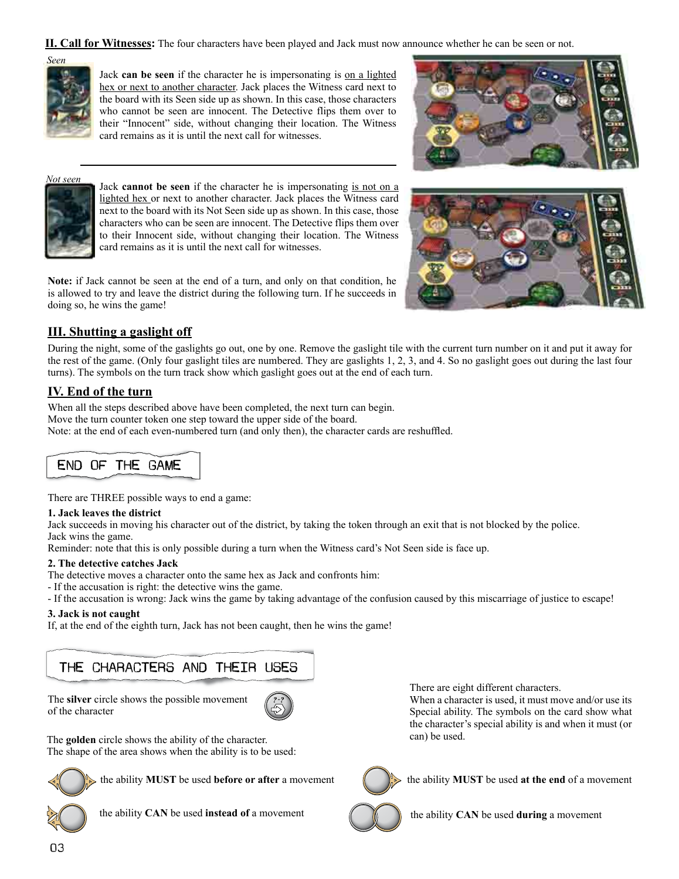**II. Call for Witnesses:** The four characters have been played and Jack must now announce whether he can be seen or not.



Jack **can be seen** if the character he is impersonating is on a lighted hex or next to another character. Jack places the Witness card next to the board with its Seen side up as shown. In this case, those characters who cannot be seen are innocent. The Detective flips them over to their "Innocent" side, without changing their location. The Witness card remains as it is until the next call for witnesses.





Jack **cannot be seen** if the character he is impersonating is not on a lighted hex or next to another character. Jack places the Witness card next to the board with its Not Seen side up as shown. In this case, those characters who can be seen are innocent. The Detective flips them over to their Innocent side, without changing their location. The Witness card remains as it is until the next call for witnesses.

**Note:** if Jack cannot be seen at the end of a turn, and only on that condition, he is allowed to try and leave the district during the following turn. If he succeeds in doing so, he wins the game!



# **III. Shutting a gaslight off**

During the night, some of the gaslights go out, one by one. Remove the gaslight tile with the current turn number on it and put it away for the rest of the game. (Only four gaslight tiles are numbered. They are gaslights 1, 2, 3, and 4. So no gaslight goes out during the last four turns). The symbols on the turn track show which gaslight goes out at the end of each turn.

# **IV. End of the turn**

When all the steps described above have been completed, the next turn can begin. Move the turn counter token one step toward the upper side of the board. Note: at the end of each even-numbered turn (and only then), the character cards are reshuffled.

# END OF THE GAME

There are THREE possible ways to end a game:

# **1. Jack leaves the district**

Jack succeeds in moving his character out of the district, by taking the token through an exit that is not blocked by the police. Jack wins the game.

Reminder: note that this is only possible during a turn when the Witness card's Not Seen side is face up.

# **2. The detective catches Jack**

The detective moves a character onto the same hex as Jack and confronts him:

- If the accusation is right: the detective wins the game.
- If the accusation is wrong: Jack wins the game by taking advantage of the confusion caused by this miscarriage of justice to escape!

# **3. Jack is not caught**

If, at the end of the eighth turn, Jack has not been caught, then he wins the game!

# THE CHARACTERS AND THEIR USES

The **silver** circle shows the possible movement of the character



The **golden** circle shows the ability of the character. The shape of the area shows when the ability is to be used:



the ability **MUST** be used **before or after** a movement



the ability **CAN** be used **instead of** a movement  $\mathbb{C}$   $\mathbb{C}$  the ability **CAN** be used **during** a movement

There are eight different characters.

When a character is used, it must move and/or use its Special ability. The symbols on the card show what the character's special ability is and when it must (or can) be used.



the ability **MUST** be used **at the end** of a movement

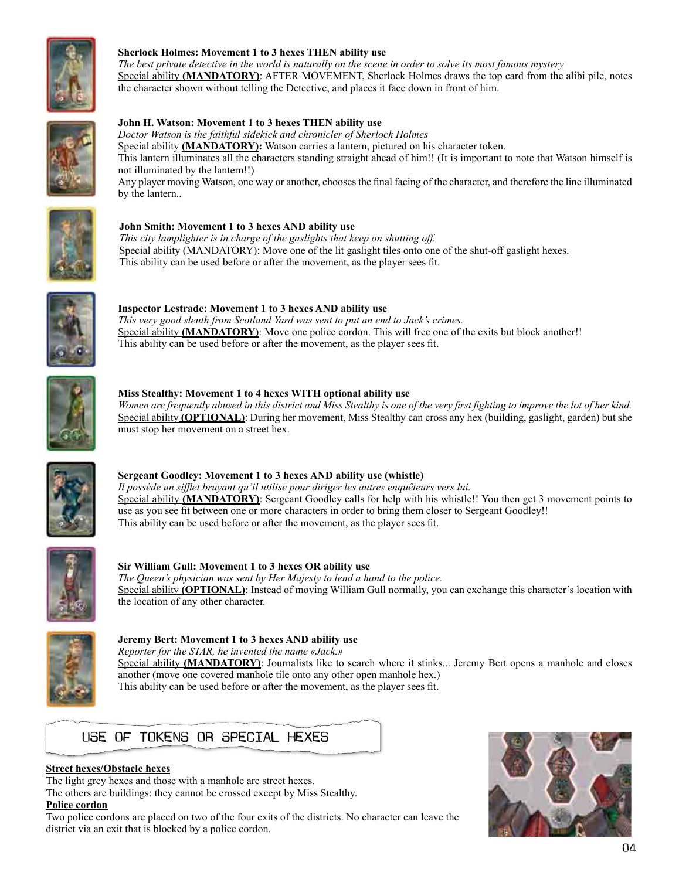

# **Sherlock Holmes: Movement 1 to 3 hexes THEN ability use**

*The best private detective in the world is naturally on the scene in order to solve its most famous mystery* Special ability **(MANDATORY)**: AFTER MOVEMENT, Sherlock Holmes draws the top card from the alibi pile, notes the character shown without telling the Detective, and places it face down in front of him.



#### **John H. Watson: Movement 1 to 3 hexes THEN ability use**

*Doctor Watson is the faithful sidekick and chronicler of Sherlock Holmes* Special ability **(MANDATORY):** Watson carries a lantern, pictured on his character token. This lantern illuminates all the characters standing straight ahead of him!! (It is important to note that Watson himself is not illuminated by the lantern!!) Any player moving Watson, one way or another, chooses the final facing of the character, and therefore the line illuminated by the lantern..



# **John Smith: Movement 1 to 3 hexes AND ability use**

*This city lamplighter is in charge of the gaslights that keep on shutting off.*  Special ability (MANDATORY): Move one of the lit gaslight tiles onto one of the shut-off gaslight hexes. This ability can be used before or after the movement, as the player sees fit.



**Inspector Lestrade: Movement 1 to 3 hexes AND ability use** *This very good sleuth from Scotland Yard was sent to put an end to Jack's crimes.* Special ability **(MANDATORY)**: Move one police cordon. This will free one of the exits but block another!! This ability can be used before or after the movement, as the player sees fit.



#### **Miss Stealthy: Movement 1 to 4 hexes WITH optional ability use**

*Women are frequently abused in this district and Miss Stealthy is one of the very frst fghting to improve the lot of her kind.*  Special ability **(OPTIONAL)**: During her movement, Miss Stealthy can cross any hex (building, gaslight, garden) but she must stop her movement on a street hex.



# **Sergeant Goodley: Movement 1 to 3 hexes AND ability use (whistle)**

*Il possède un sifflet bruyant qu'il utilise pour diriger les autres enquêteurs vers lui.* Special ability **(MANDATORY)**: Sergeant Goodley calls for help with his whistle!! You then get 3 movement points to use as you see fit between one or more characters in order to bring them closer to Sergeant Goodley!! This ability can be used before or after the movement, as the player sees fit.



#### **Sir William Gull: Movement 1 to 3 hexes OR ability use** *The Queen's physician was sent by Her Majesty to lend a hand to the police.* Special ability **(OPTIONAL)**: Instead of moving William Gull normally, you can exchange this character's location with the location of any other character.



# **Jeremy Bert: Movement 1 to 3 hexes AND ability use** *Reporter for the STAR, he invented the name «Jack.»*

Special ability **(MANDATORY)**: Journalists like to search where it stinks... Jeremy Bert opens a manhole and closes another (move one covered manhole tile onto any other open manhole hex.) This ability can be used before or after the movement, as the player sees fit.



# **Street hexes/Obstacle hexes**

The light grey hexes and those with a manhole are street hexes.

The others are buildings: they cannot be crossed except by Miss Stealthy.

**Police cordon** Two police cordons are placed on two of the four exits of the districts. No character can leave the district via an exit that is blocked by a police cordon.